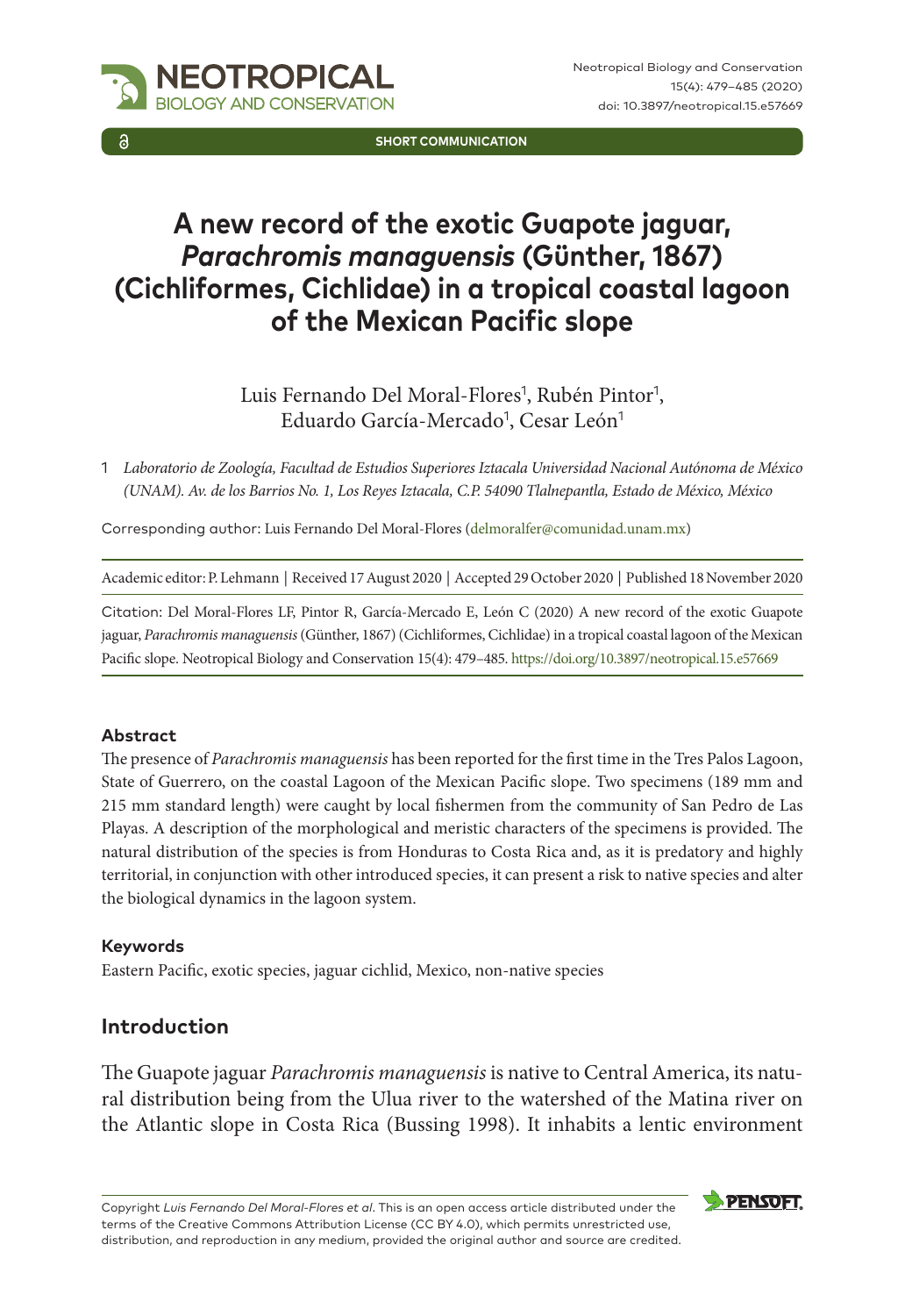

**SHORT COMMUNICATION**

# **A new record of the exotic Guapote jaguar,**  *Parachromis managuensis* **(Günther, 1867) (Cichliformes, Cichlidae) in a tropical coastal lagoon of the Mexican Pacific slope**

Luis Fernando Del Moral-Flores<sup>1</sup>, Rubén Pintor<sup>1</sup>, Eduardo García-Mercado<sup>1</sup>, Cesar León<sup>1</sup>

1 *Laboratorio de Zoología, Facultad de Estudios Superiores Iztacala Universidad Nacional Autónoma de México (UNAM). Av. de los Barrios No. 1, Los Reyes Iztacala, C.P. 54090 Tlalnepantla, Estado de México, México*

Corresponding author: Luis Fernando Del Moral-Flores [\(delmoralfer@comunidad.unam.mx\)](mailto:delmoralfer@comunidad.unam.mx)

Academic editor: P. Lehmann | Received 17 August 2020 | Accepted 29 October 2020 | Published 18 November 2020

Citation: Del Moral-Flores LF, Pintor R, García-Mercado E, León C (2020) A new record of the exotic Guapote jaguar, *Parachromis managuensis* (Günther, 1867) (Cichliformes, Cichlidae) in a tropical coastal lagoon of the Mexican Pacific slope. Neotropical Biology and Conservation 15(4): 479–485.<https://doi.org/10.3897/neotropical.15.e57669>

#### **Abstract**

The presence of *Parachromis managuensis* has been reported for the first time in the Tres Palos Lagoon, State of Guerrero, on the coastal Lagoon of the Mexican Pacific slope. Two specimens (189 mm and 215 mm standard length) were caught by local fishermen from the community of San Pedro de Las Playas. A description of the morphological and meristic characters of the specimens is provided. The natural distribution of the species is from Honduras to Costa Rica and, as it is predatory and highly territorial, in conjunction with other introduced species, it can present a risk to native species and alter the biological dynamics in the lagoon system.

#### **Keywords**

Eastern Pacific, exotic species, jaguar cichlid, Mexico, non-native species

## **Introduction**

The Guapote jaguar *Parachromis managuensis* is native to Central America, its natural distribution being from the Ulua river to the watershed of the Matina river on the Atlantic slope in Costa Rica (Bussing 1998). It inhabits a lentic environment

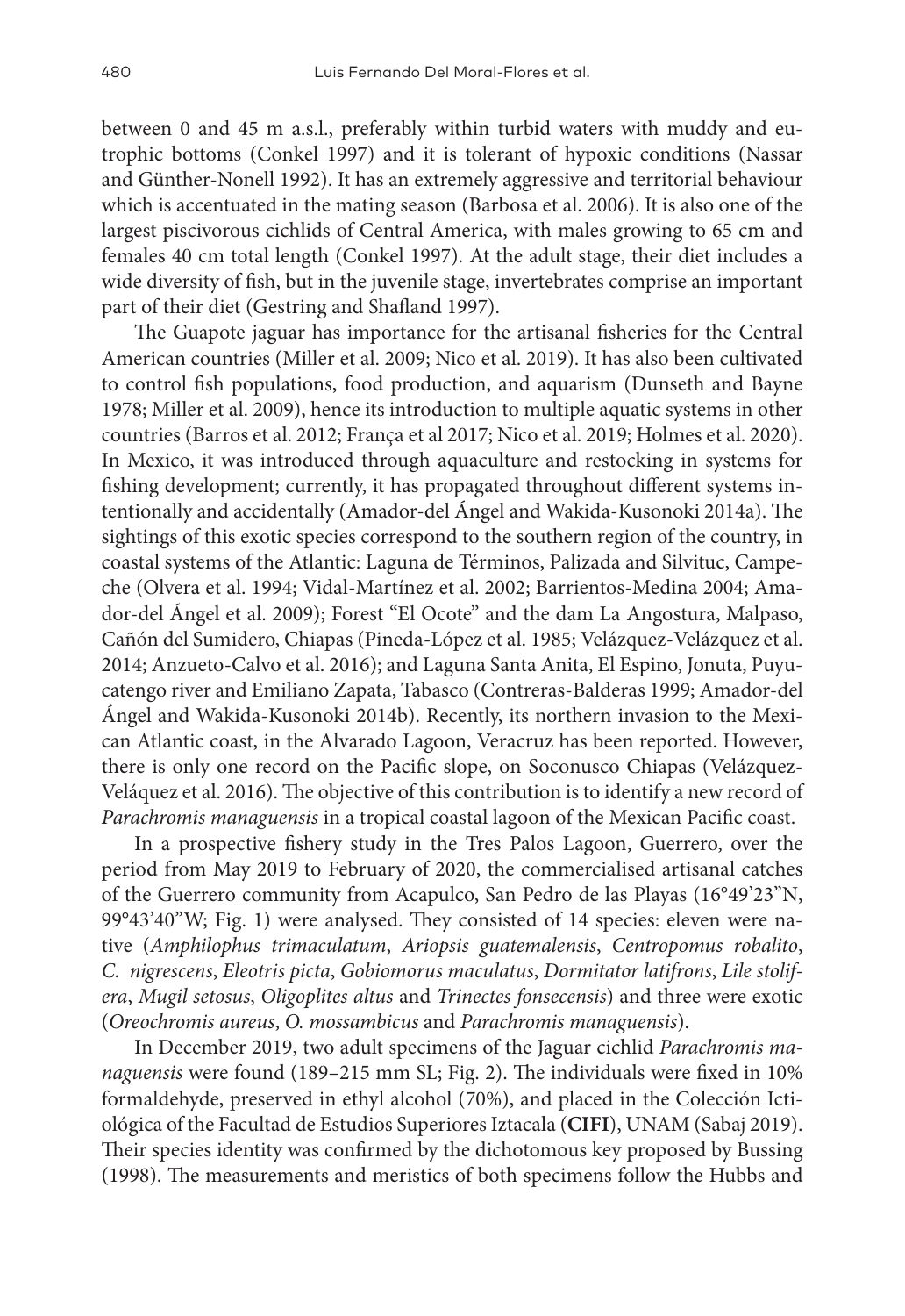between 0 and 45 m a.s.l., preferably within turbid waters with muddy and eutrophic bottoms (Conkel 1997) and it is tolerant of hypoxic conditions (Nassar and Günther-Nonell 1992). It has an extremely aggressive and territorial behaviour which is accentuated in the mating season (Barbosa et al. 2006). It is also one of the largest piscivorous cichlids of Central America, with males growing to 65 cm and females 40 cm total length (Conkel 1997). At the adult stage, their diet includes a wide diversity of fish, but in the juvenile stage, invertebrates comprise an important part of their diet (Gestring and Shafland 1997).

The Guapote jaguar has importance for the artisanal fisheries for the Central American countries (Miller et al. 2009; Nico et al. 2019). It has also been cultivated to control fish populations, food production, and aquarism (Dunseth and Bayne 1978; Miller et al. 2009), hence its introduction to multiple aquatic systems in other countries (Barros et al. 2012; França et al 2017; Nico et al. 2019; Holmes et al. 2020). In Mexico, it was introduced through aquaculture and restocking in systems for fishing development; currently, it has propagated throughout different systems intentionally and accidentally (Amador-del Ángel and Wakida-Kusonoki 2014a). The sightings of this exotic species correspond to the southern region of the country, in coastal systems of the Atlantic: Laguna de Términos, Palizada and Silvituc, Campeche (Olvera et al. 1994; Vidal-Martínez et al. 2002; Barrientos-Medina 2004; Amador-del Ángel et al. 2009); Forest "El Ocote" and the dam La Angostura, Malpaso, Cañón del Sumidero, Chiapas (Pineda-López et al. 1985; Velázquez-Velázquez et al. 2014; Anzueto-Calvo et al. 2016); and Laguna Santa Anita, El Espino, Jonuta, Puyucatengo river and Emiliano Zapata, Tabasco (Contreras-Balderas 1999; Amador-del Ángel and Wakida-Kusonoki 2014b). Recently, its northern invasion to the Mexican Atlantic coast, in the Alvarado Lagoon, Veracruz has been reported. However, there is only one record on the Pacific slope, on Soconusco Chiapas (Velázquez-Veláquez et al. 2016). The objective of this contribution is to identify a new record of *Parachromis managuensis* in a tropical coastal lagoon of the Mexican Pacific coast.

In a prospective fishery study in the Tres Palos Lagoon, Guerrero, over the period from May 2019 to February of 2020, the commercialised artisanal catches of the Guerrero community from Acapulco, San Pedro de las Playas (16°49'23"N, 99°43'40"W; Fig. 1) were analysed. They consisted of 14 species: eleven were native (*Amphilophus trimaculatum*, *Ariopsis guatemalensis*, *Centropomus robalito*, *C. nigrescens*, *Eleotris picta*, *Gobiomorus maculatus*, *Dormitator latifrons*, *Lile stolifera*, *Mugil setosus*, *Oligoplites altus* and *Trinectes fonsecensis*) and three were exotic (*Oreochromis aureus*, *O. mossambicus* and *Parachromis managuensis*).

In December 2019, two adult specimens of the Jaguar cichlid *Parachromis managuensis* were found (189–215 mm SL; Fig. 2). The individuals were fixed in 10% formaldehyde, preserved in ethyl alcohol (70%), and placed in the Colección Ictiológica of the Facultad de Estudios Superiores Iztacala (**CIFI**), UNAM (Sabaj 2019). Their species identity was confirmed by the dichotomous key proposed by Bussing (1998). The measurements and meristics of both specimens follow the Hubbs and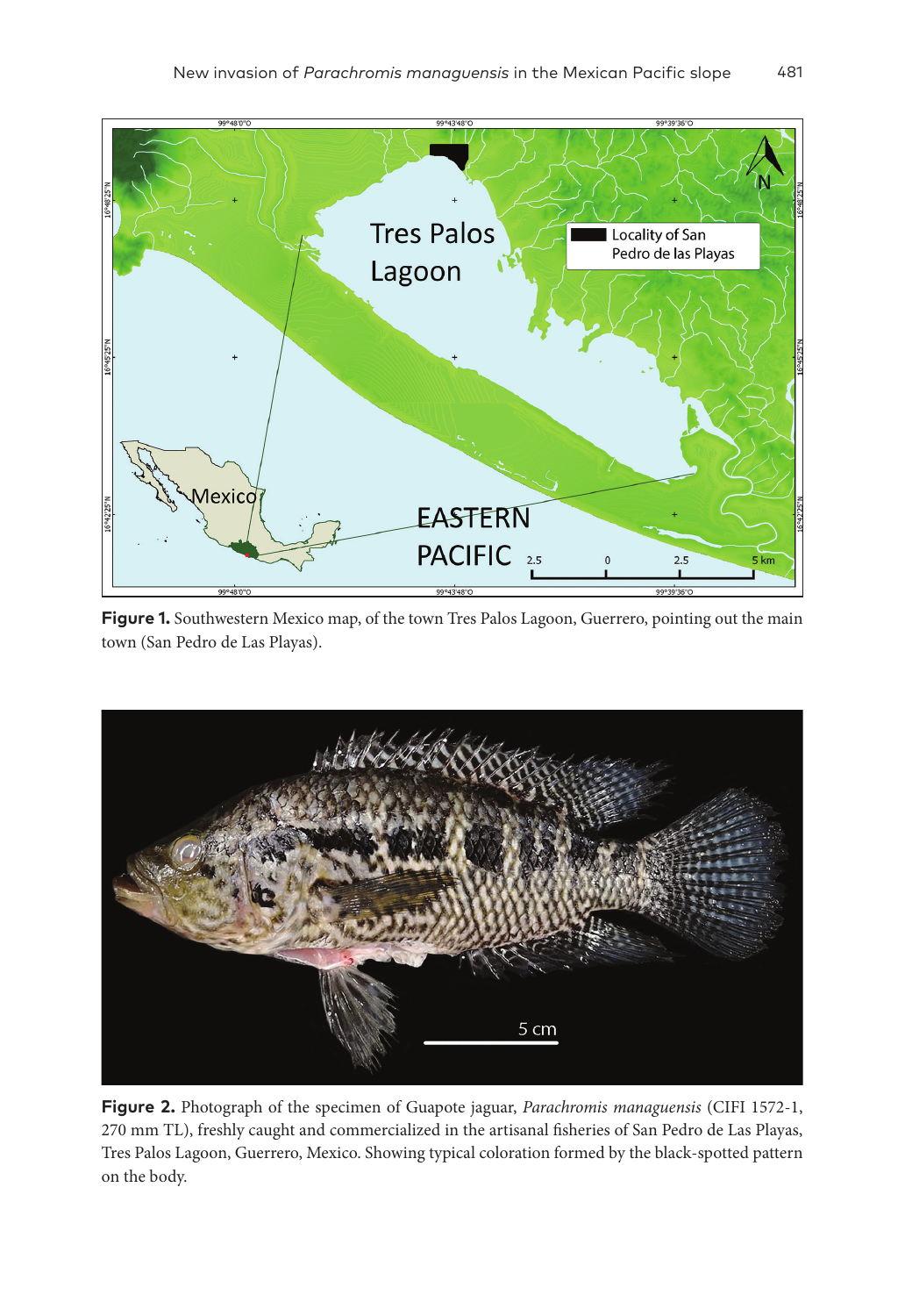

Figure 1. Southwestern Mexico map, of the town Tres Palos Lagoon, Guerrero, pointing out the main town (San Pedro de Las Playas).



**Figure 2.** Photograph of the specimen of Guapote jaguar, *Parachromis managuensis* (CIFI 1572-1, 270 mm TL), freshly caught and commercialized in the artisanal fisheries of San Pedro de Las Playas, Tres Palos Lagoon, Guerrero, Mexico. Showing typical coloration formed by the black-spotted pattern on the body.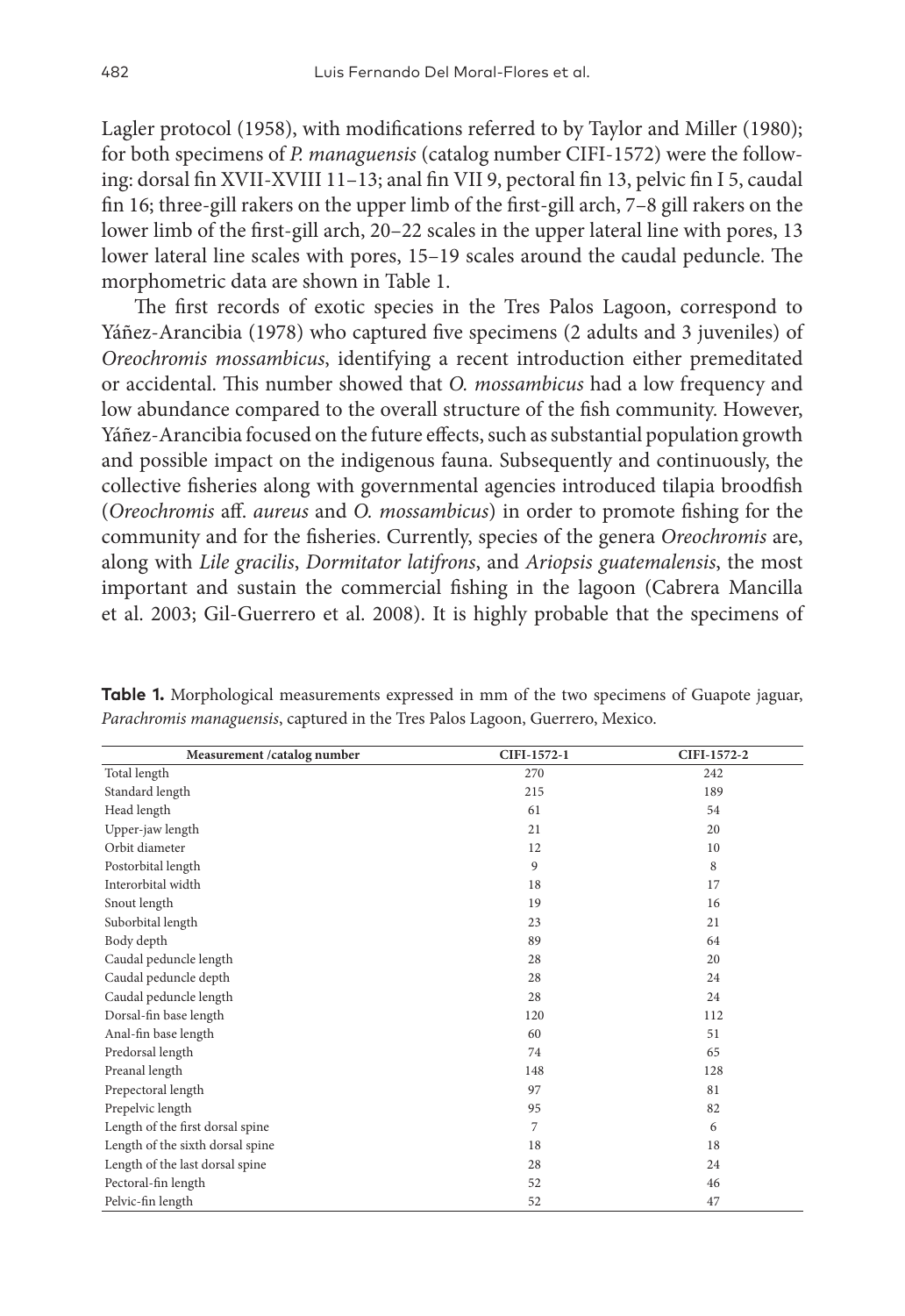Lagler protocol (1958), with modifications referred to by Taylor and Miller (1980); for both specimens of *P. managuensis* (catalog number CIFI-1572) were the following: dorsal fin XVII-XVIII 11–13; anal fin VII 9, pectoral fin 13, pelvic fin I 5, caudal fin 16; three-gill rakers on the upper limb of the first-gill arch, 7–8 gill rakers on the lower limb of the first-gill arch, 20–22 scales in the upper lateral line with pores, 13 lower lateral line scales with pores, 15–19 scales around the caudal peduncle. The morphometric data are shown in Table 1.

The first records of exotic species in the Tres Palos Lagoon, correspond to Yáñez-Arancibia (1978) who captured five specimens (2 adults and 3 juveniles) of *Oreochromis mossambicus*, identifying a recent introduction either premeditated or accidental. This number showed that *O. mossambicus* had a low frequency and low abundance compared to the overall structure of the fish community. However, Yáñez-Arancibia focused on the future effects, such as substantial population growth and possible impact on the indigenous fauna. Subsequently and continuously, the collective fisheries along with governmental agencies introduced tilapia broodfish (*Oreochromis* aff. *aureus* and *O. mossambicus*) in order to promote fishing for the community and for the fisheries. Currently, species of the genera *Oreochromis* are, along with *Lile gracilis*, *Dormitator latifrons*, and *Ariopsis guatemalensis*, the most important and sustain the commercial fishing in the lagoon (Cabrera Mancilla et al. 2003; Gil-Guerrero et al. 2008). It is highly probable that the specimens of

| Measurement /catalog number      | CIFI-1572-1 | CIFI-1572-2 |
|----------------------------------|-------------|-------------|
| Total length                     | 270         | 242         |
| Standard length                  | 215         | 189         |
| Head length                      | 61          | 54          |
| Upper-jaw length                 | 21          | 20          |
| Orbit diameter                   | 12          | 10          |
| Postorbital length               | 9           | 8           |
| Interorbital width               | 18          | 17          |
| Snout length                     | 19          | 16          |
| Suborbital length                | 23          | 21          |
| Body depth                       | 89          | 64          |
| Caudal peduncle length           | 28          | 20          |
| Caudal peduncle depth            | 28          | 24          |
| Caudal peduncle length           | 28          | 24          |
| Dorsal-fin base length           | 120         | 112         |
| Anal-fin base length             | 60          | 51          |
| Predorsal length                 | 74          | 65          |
| Preanal length                   | 148         | 128         |
| Prepectoral length               | 97          | 81          |
| Prepelvic length                 | 95          | 82          |
| Length of the first dorsal spine | 7           | 6           |
| Length of the sixth dorsal spine | 18          | 18          |
| Length of the last dorsal spine  | 28          | 24          |
| Pectoral-fin length              | 52          | 46          |
| Pelvic-fin length                | 52          | 47          |

Table 1. Morphological measurements expressed in mm of the two specimens of Guapote jaguar, *Parachromis managuensis*, captured in the Tres Palos Lagoon, Guerrero, Mexico.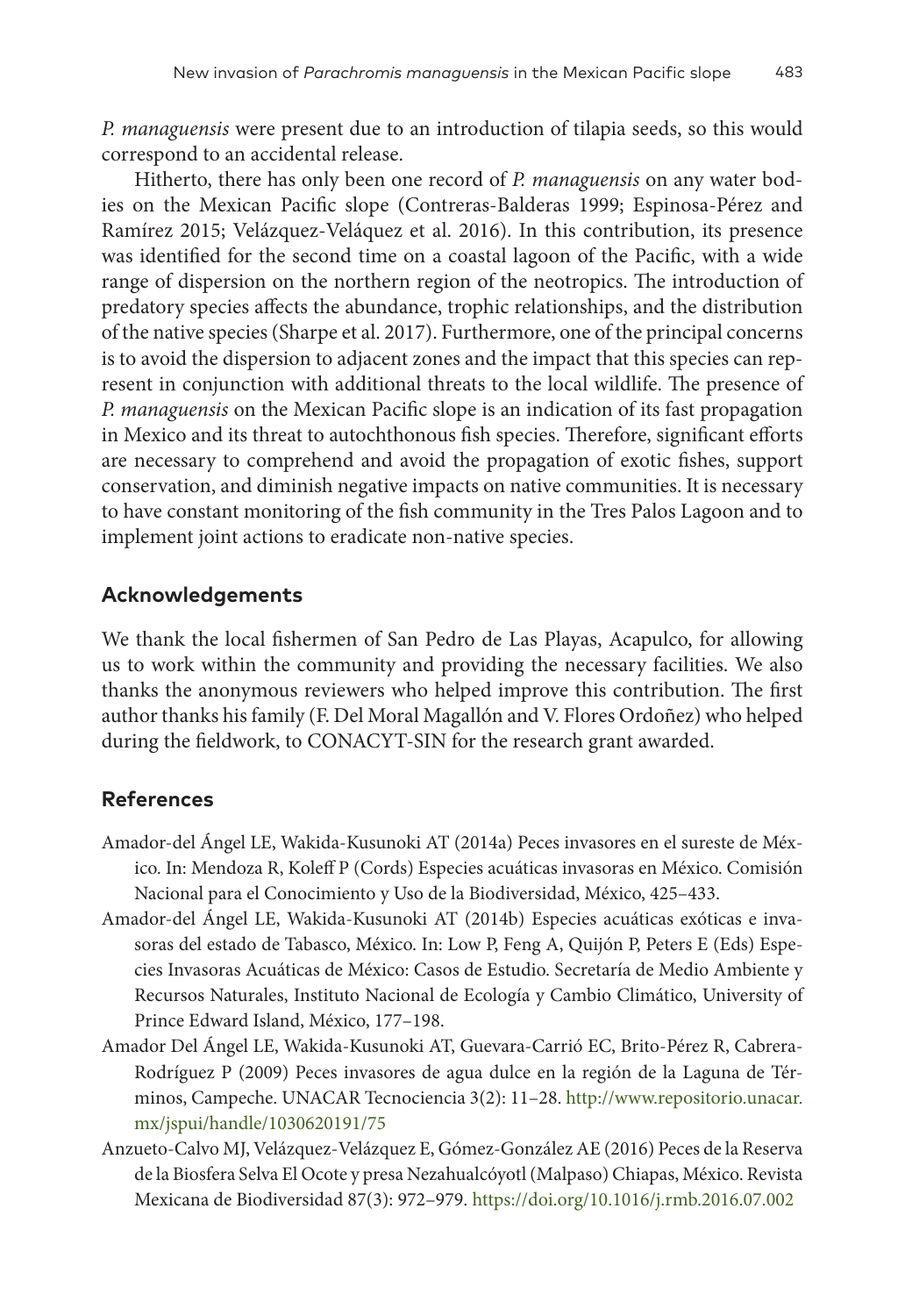*P. managuensis* were present due to an introduction of tilapia seeds, so this would correspond to an accidental release.

Hitherto, there has only been one record of *P. managuensis* on any water bodies on the Mexican Pacific slope (Contreras-Balderas 1999; Espinosa-Pérez and Ramírez 2015; Velázquez-Veláquez et al. 2016). In this contribution, its presence was identified for the second time on a coastal lagoon of the Pacific, with a wide range of dispersion on the northern region of the neotropics. The introduction of predatory species affects the abundance, trophic relationships, and the distribution of the native species (Sharpe et al. 2017). Furthermore, one of the principal concerns is to avoid the dispersion to adjacent zones and the impact that this species can represent in conjunction with additional threats to the local wildlife. The presence of *P. managuensis* on the Mexican Pacific slope is an indication of its fast propagation in Mexico and its threat to autochthonous fish species. Therefore, significant efforts are necessary to comprehend and avoid the propagation of exotic fishes, support conservation, and diminish negative impacts on native communities. It is necessary to have constant monitoring of the fish community in the Tres Palos Lagoon and to implement joint actions to eradicate non-native species.

## **Acknowledgements**

We thank the local fishermen of San Pedro de Las Playas, Acapulco, for allowing us to work within the community and providing the necessary facilities. We also thanks the anonymous reviewers who helped improve this contribution. The first author thanks his family (F. Del Moral Magallón and V. Flores Ordoñez) who helped during the fieldwork, to CONACYT-SIN for the research grant awarded.

## **References**

- Amador-del Ángel LE, Wakida-Kusunoki AT (2014a) Peces invasores en el sureste de México. In: Mendoza R, Koleff P (Cords) Especies acuáticas invasoras en México. Comisión Nacional para el Conocimiento y Uso de la Biodiversidad, México, 425–433.
- Amador-del Ángel LE, Wakida-Kusunoki AT (2014b) Especies acuáticas exóticas e invasoras del estado de Tabasco, México. In: Low P, Feng A, Quijón P, Peters E (Eds) Especies Invasoras Acuáticas de México: Casos de Estudio. Secretaría de Medio Ambiente y Recursos Naturales, Instituto Nacional de Ecología y Cambio Climático, University of Prince Edward Island, México, 177–198.
- Amador Del Ángel LE, Wakida-Kusunoki AT, Guevara-Carrió EC, Brito-Pérez R, Cabrera-Rodríguez P (2009) Peces invasores de agua dulce en la región de la Laguna de Términos, Campeche. UNACAR Tecnociencia 3(2): 11–28. [http://www.repositorio.unacar.](http://www.repositorio.unacar.mx/jspui/handle/1030620191/75) [mx/jspui/handle/1030620191/75](http://www.repositorio.unacar.mx/jspui/handle/1030620191/75)
- Anzueto-Calvo MJ, Velázquez-Velázquez E, Gómez-González AE (2016) Peces de la Reserva de la Biosfera Selva El Ocote y presa Nezahualcóyotl (Malpaso) Chiapas, México. Revista Mexicana de Biodiversidad 87(3): 972–979.<https://doi.org/10.1016/j.rmb.2016.07.002>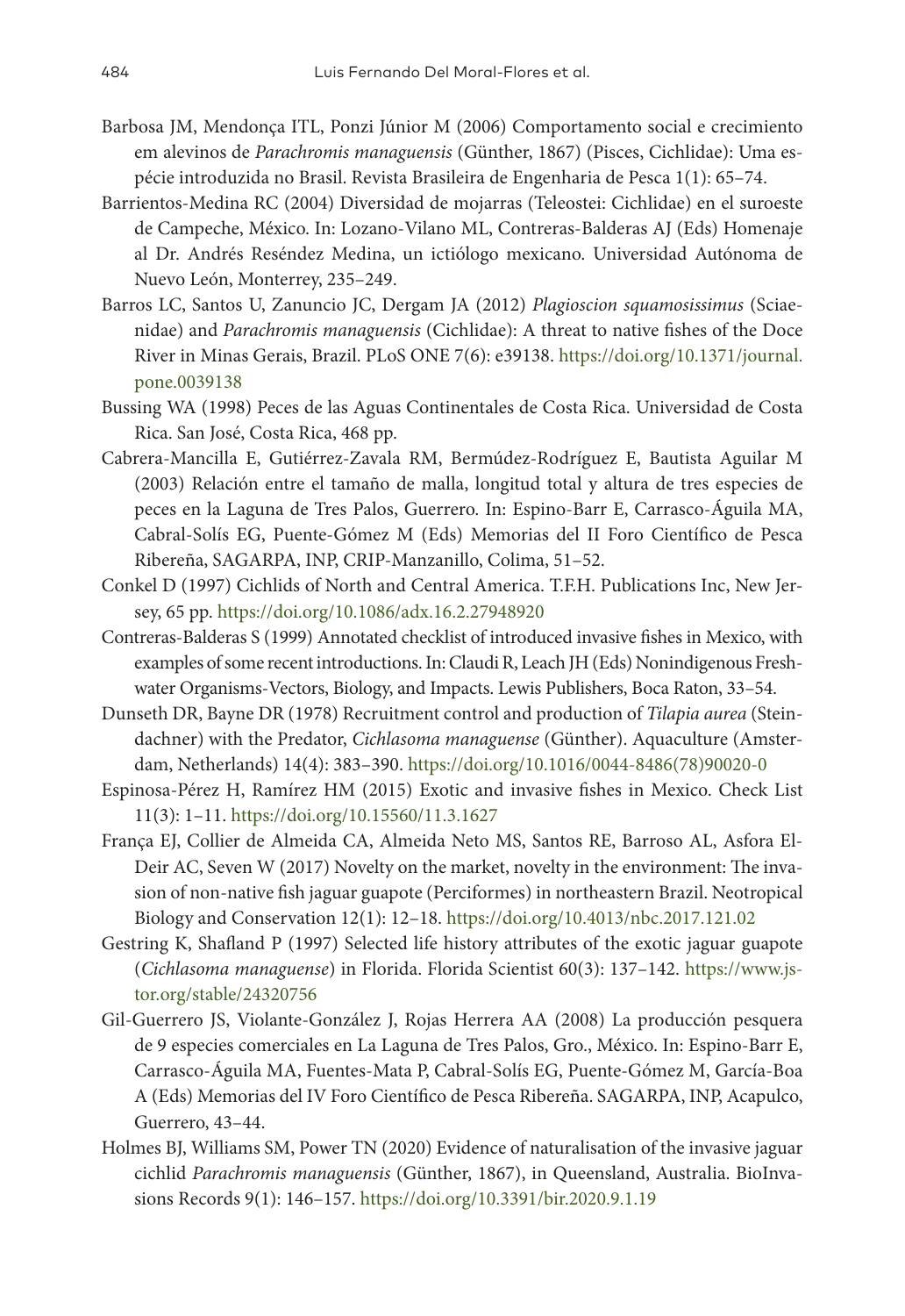- Barbosa JM, Mendonça ITL, Ponzi Júnior M (2006) Comportamento social e crecimiento em alevinos de *Parachromis managuensis* (Günther, 1867) (Pisces, Cichlidae): Uma espécie introduzida no Brasil. Revista Brasileira de Engenharia de Pesca 1(1): 65–74.
- Barrientos-Medina RC (2004) Diversidad de mojarras (Teleostei: Cichlidae) en el suroeste de Campeche, México. In: Lozano-Vilano ML, Contreras-Balderas AJ (Eds) Homenaje al Dr. Andrés Reséndez Medina, un ictiólogo mexicano. Universidad Autónoma de Nuevo León, Monterrey, 235–249.
- Barros LC, Santos U, Zanuncio JC, Dergam JA (2012) *Plagioscion squamosissimus* (Sciaenidae) and *Parachromis managuensis* (Cichlidae): A threat to native fishes of the Doce River in Minas Gerais, Brazil. PLoS ONE 7(6): e39138. [https://doi.org/10.1371/journal.](https://doi.org/10.1371/journal.pone.0039138) [pone.0039138](https://doi.org/10.1371/journal.pone.0039138)
- Bussing WA (1998) Peces de las Aguas Continentales de Costa Rica. Universidad de Costa Rica. San José, Costa Rica, 468 pp.
- Cabrera-Mancilla E, Gutiérrez-Zavala RM, Bermúdez-Rodríguez E, Bautista Aguilar M (2003) Relación entre el tamaño de malla, longitud total y altura de tres especies de peces en la Laguna de Tres Palos, Guerrero. In: Espino-Barr E, Carrasco-Águila MA, Cabral-Solís EG, Puente-Gómez M (Eds) Memorias del II Foro Científico de Pesca Ribereña, SAGARPA, INP, CRIP-Manzanillo, Colima, 51–52.
- Conkel D (1997) Cichlids of North and Central America. T.F.H. Publications Inc, New Jersey, 65 pp.<https://doi.org/10.1086/adx.16.2.27948920>
- Contreras-Balderas S (1999) Annotated checklist of introduced invasive fishes in Mexico, with examples of some recent introductions. In: Claudi R, Leach JH (Eds) Nonindigenous Freshwater Organisms-Vectors, Biology, and Impacts. Lewis Publishers, Boca Raton, 33–54.
- Dunseth DR, Bayne DR (1978) Recruitment control and production of *Tilapia aurea* (Steindachner) with the Predator, *Cichlasoma managuense* (Günther). Aquaculture (Amsterdam, Netherlands) 14(4): 383–390. [https://doi.org/10.1016/0044-8486\(78\)90020-0](https://doi.org/10.1016/0044-8486(78)90020-0)
- Espinosa-Pérez H, Ramírez HM (2015) Exotic and invasive fishes in Mexico. Check List 11(3): 1–11.<https://doi.org/10.15560/11.3.1627>
- França EJ, Collier de Almeida CA, Almeida Neto MS, Santos RE, Barroso AL, Asfora El-Deir AC, Seven W (2017) Novelty on the market, novelty in the environment: The invasion of non-native fish jaguar guapote (Perciformes) in northeastern Brazil. Neotropical Biology and Conservation 12(1): 12–18. <https://doi.org/10.4013/nbc.2017.121.02>
- Gestring K, Shafland P (1997) Selected life history attributes of the exotic jaguar guapote (*Cichlasoma managuense*) in Florida. Florida Scientist 60(3): 137–142. [https://www.js](https://www.jstor.org/stable/24320756)[tor.org/stable/24320756](https://www.jstor.org/stable/24320756)
- Gil-Guerrero JS, Violante-González J, Rojas Herrera AA (2008) La producción pesquera de 9 especies comerciales en La Laguna de Tres Palos, Gro., México. In: Espino-Barr E, Carrasco-Águila MA, Fuentes-Mata P, Cabral-Solís EG, Puente-Gómez M, García-Boa A (Eds) Memorias del IV Foro Científico de Pesca Ribereña. SAGARPA, INP, Acapulco, Guerrero, 43–44.
- Holmes BJ, Williams SM, Power TN (2020) Evidence of naturalisation of the invasive jaguar cichlid *Parachromis managuensis* (Günther, 1867), in Queensland, Australia. BioInvasions Records 9(1): 146–157.<https://doi.org/10.3391/bir.2020.9.1.19>